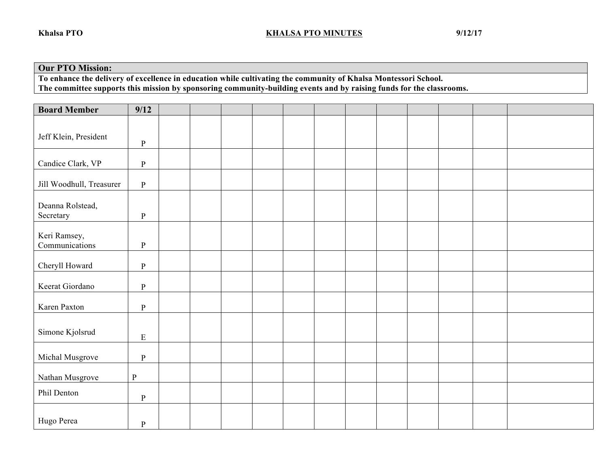## **Our PTO Mission:**

**To enhance the delivery of excellence in education while cultivating the community of Khalsa Montessori School. The committee supports this mission by sponsoring community-building events and by raising funds for the classrooms.** 

| <b>Board Member</b>            | 9/12         |  |  |  |  |  |  |
|--------------------------------|--------------|--|--|--|--|--|--|
| Jeff Klein, President          | ${\bf P}$    |  |  |  |  |  |  |
| Candice Clark, VP              | $\, {\bf P}$ |  |  |  |  |  |  |
| Jill Woodhull, Treasurer       | $\, {\bf P}$ |  |  |  |  |  |  |
| Deanna Rolstead,<br>Secretary  | ${\bf P}$    |  |  |  |  |  |  |
| Keri Ramsey,<br>Communications | $\, {\bf p}$ |  |  |  |  |  |  |
| Cheryll Howard                 | $\, {\bf p}$ |  |  |  |  |  |  |
| Keerat Giordano                | ${\bf P}$    |  |  |  |  |  |  |
| Karen Paxton                   | $\, {\bf p}$ |  |  |  |  |  |  |
| Simone Kjolsrud                | ${\bf E}$    |  |  |  |  |  |  |
| Michal Musgrove                | ${\bf P}$    |  |  |  |  |  |  |
| Nathan Musgrove                | ${\bf P}$    |  |  |  |  |  |  |
| Phil Denton                    | ${\bf P}$    |  |  |  |  |  |  |
| Hugo Perea                     | $\, {\bf p}$ |  |  |  |  |  |  |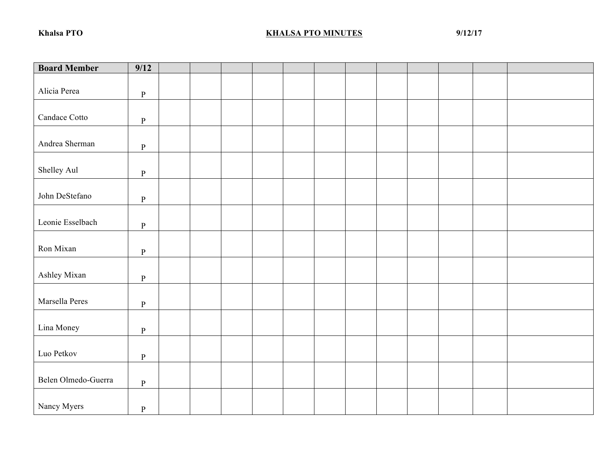## **KHALSA PTO MINUTES** 9/12/17

| <b>Board Member</b> | $\overline{9/12}$ |  |  |  |  |  |  |
|---------------------|-------------------|--|--|--|--|--|--|
| Alicia Perea        | $\, {\bf p}$      |  |  |  |  |  |  |
| Candace Cotto       | $\, {\bf p}$      |  |  |  |  |  |  |
| Andrea Sherman      | $\, {\bf P}$      |  |  |  |  |  |  |
| Shelley Aul         | $\, {\bf P}$      |  |  |  |  |  |  |
| John DeStefano      | $\, {\bf p}$      |  |  |  |  |  |  |
| Leonie Esselbach    | $\, {\bf p}$      |  |  |  |  |  |  |
| Ron Mixan           | $\, {\bf p}$      |  |  |  |  |  |  |
| Ashley Mixan        | $\, {\bf p}$      |  |  |  |  |  |  |
| Marsella Peres      | $\, {\bf p}$      |  |  |  |  |  |  |
| Lina Money          | $\, {\bf p}$      |  |  |  |  |  |  |
| Luo Petkov          | $\, {\bf p}$      |  |  |  |  |  |  |
| Belen Olmedo-Guerra | $\, {\bf p}$      |  |  |  |  |  |  |
| Nancy Myers         | ${\bf P}$         |  |  |  |  |  |  |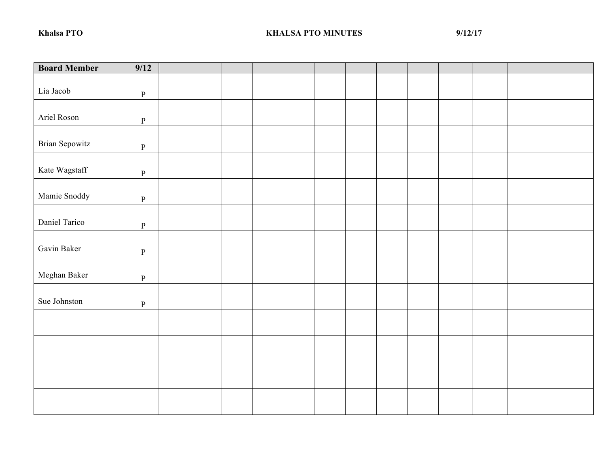## **KHALSA PTO MINUTES** 9/12/17

| <b>Board Member</b> | 9/12         |  |  |  |  |  |  |
|---------------------|--------------|--|--|--|--|--|--|
| Lia Jacob           | $\, {\bf p}$ |  |  |  |  |  |  |
| Ariel Roson         | $\, {\bf P}$ |  |  |  |  |  |  |
| Brian Sepowitz      | $\, {\bf p}$ |  |  |  |  |  |  |
| Kate Wagstaff       | $\, {\bf p}$ |  |  |  |  |  |  |
| Mamie Snoddy        | $\, {\bf p}$ |  |  |  |  |  |  |
| Daniel Tarico       | $\, {\bf p}$ |  |  |  |  |  |  |
| Gavin Baker         | $\, {\bf p}$ |  |  |  |  |  |  |
| Meghan Baker        | $\, {\bf P}$ |  |  |  |  |  |  |
| Sue Johnston        | $\, {\bf P}$ |  |  |  |  |  |  |
|                     |              |  |  |  |  |  |  |
|                     |              |  |  |  |  |  |  |
|                     |              |  |  |  |  |  |  |
|                     |              |  |  |  |  |  |  |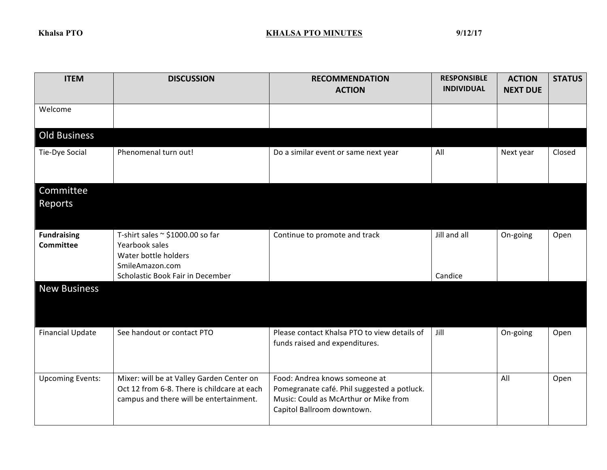## **KHALSA PTO MINUTES** 9/12/17

| <b>ITEM</b>                            | <b>DISCUSSION</b>                                                                                                                      | <b>RECOMMENDATION</b><br><b>ACTION</b>                                                                                                              | <b>RESPONSIBLE</b><br><b>INDIVIDUAL</b> | <b>ACTION</b><br><b>NEXT DUE</b> | <b>STATUS</b> |
|----------------------------------------|----------------------------------------------------------------------------------------------------------------------------------------|-----------------------------------------------------------------------------------------------------------------------------------------------------|-----------------------------------------|----------------------------------|---------------|
| Welcome                                |                                                                                                                                        |                                                                                                                                                     |                                         |                                  |               |
| <b>Old Business</b>                    |                                                                                                                                        |                                                                                                                                                     |                                         |                                  |               |
| Tie-Dye Social                         | Phenomenal turn out!                                                                                                                   | Do a similar event or same next year                                                                                                                | All                                     | Next year                        | Closed        |
| Committee<br>Reports                   |                                                                                                                                        |                                                                                                                                                     |                                         |                                  |               |
| <b>Fundraising</b><br><b>Committee</b> | T-shirt sales $\sim$ \$1000.00 so far<br>Yearbook sales<br>Water bottle holders<br>SmileAmazon.com<br>Scholastic Book Fair in December | Continue to promote and track                                                                                                                       | Jill and all<br>Candice                 | On-going                         | Open          |
| <b>New Business</b>                    |                                                                                                                                        |                                                                                                                                                     |                                         |                                  |               |
| <b>Financial Update</b>                | See handout or contact PTO                                                                                                             | Please contact Khalsa PTO to view details of<br>funds raised and expenditures.                                                                      | Jill                                    | On-going                         | Open          |
| <b>Upcoming Events:</b>                | Mixer: will be at Valley Garden Center on<br>Oct 12 from 6-8. There is childcare at each<br>campus and there will be entertainment.    | Food: Andrea knows someone at<br>Pomegranate café. Phil suggested a potluck.<br>Music: Could as McArthur or Mike from<br>Capitol Ballroom downtown. |                                         | All                              | Open          |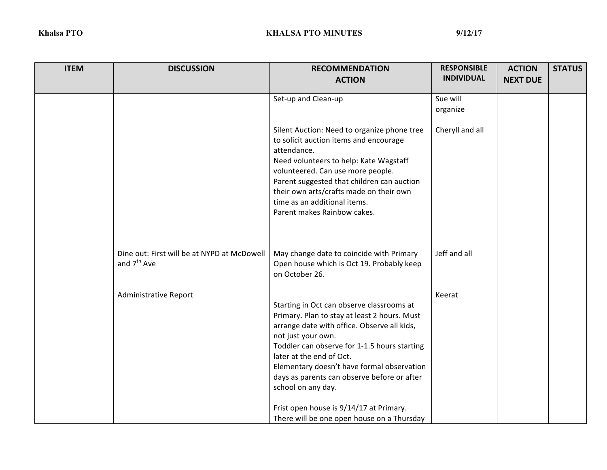| <b>ITEM</b> | <b>DISCUSSION</b>                                                      | <b>RECOMMENDATION</b>                                                                                                                                                                                                                                                                                                                                         | <b>RESPONSIBLE</b><br><b>INDIVIDUAL</b> | <b>ACTION</b>   | <b>STATUS</b> |
|-------------|------------------------------------------------------------------------|---------------------------------------------------------------------------------------------------------------------------------------------------------------------------------------------------------------------------------------------------------------------------------------------------------------------------------------------------------------|-----------------------------------------|-----------------|---------------|
|             |                                                                        | <b>ACTION</b>                                                                                                                                                                                                                                                                                                                                                 |                                         | <b>NEXT DUE</b> |               |
|             |                                                                        | Set-up and Clean-up                                                                                                                                                                                                                                                                                                                                           | Sue will                                |                 |               |
|             |                                                                        |                                                                                                                                                                                                                                                                                                                                                               | organize                                |                 |               |
|             |                                                                        | Silent Auction: Need to organize phone tree<br>to solicit auction items and encourage<br>attendance.<br>Need volunteers to help: Kate Wagstaff<br>volunteered. Can use more people.<br>Parent suggested that children can auction<br>their own arts/crafts made on their own<br>time as an additional items.<br>Parent makes Rainbow cakes.                   | Cheryll and all                         |                 |               |
|             | Dine out: First will be at NYPD at McDowell<br>and 7 <sup>th</sup> Ave | May change date to coincide with Primary<br>Open house which is Oct 19. Probably keep<br>on October 26.                                                                                                                                                                                                                                                       | Jeff and all                            |                 |               |
|             | <b>Administrative Report</b>                                           | Starting in Oct can observe classrooms at<br>Primary. Plan to stay at least 2 hours. Must<br>arrange date with office. Observe all kids,<br>not just your own.<br>Toddler can observe for 1-1.5 hours starting<br>later at the end of Oct.<br>Elementary doesn't have formal observation<br>days as parents can observe before or after<br>school on any day. | Keerat                                  |                 |               |
|             |                                                                        | Frist open house is 9/14/17 at Primary.<br>There will be one open house on a Thursday                                                                                                                                                                                                                                                                         |                                         |                 |               |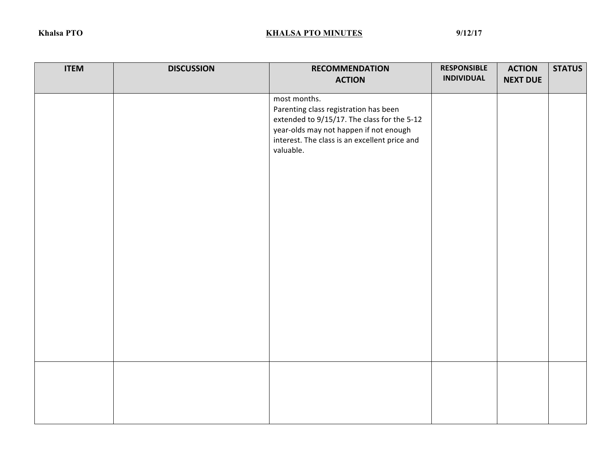| <b>ITEM</b> | <b>DISCUSSION</b> | <b>RECOMMENDATION</b>                                                                                                                                                                                        | <b>RESPONSIBLE</b> | <b>ACTION</b>   | <b>STATUS</b> |
|-------------|-------------------|--------------------------------------------------------------------------------------------------------------------------------------------------------------------------------------------------------------|--------------------|-----------------|---------------|
|             |                   | <b>ACTION</b>                                                                                                                                                                                                | <b>INDIVIDUAL</b>  | <b>NEXT DUE</b> |               |
|             |                   | most months.<br>Parenting class registration has been<br>extended to 9/15/17. The class for the 5-12<br>year-olds may not happen if not enough<br>interest. The class is an excellent price and<br>valuable. |                    |                 |               |
|             |                   |                                                                                                                                                                                                              |                    |                 |               |
|             |                   |                                                                                                                                                                                                              |                    |                 |               |
|             |                   |                                                                                                                                                                                                              |                    |                 |               |